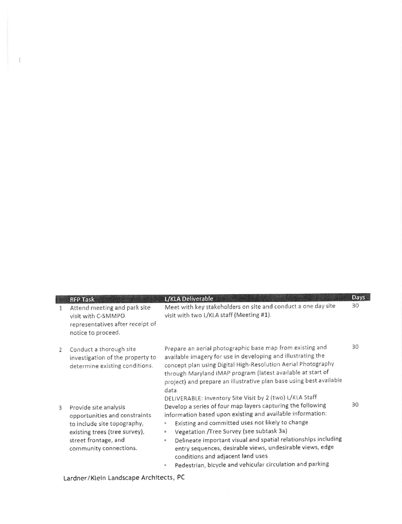| 1                        | <b>RFP Task</b><br>Attend meeting and park site<br>visit with C-SMMPO<br>representatives after receipt of<br>notice to proceed.                                          | L/KLA Deliverable<br>Meet with key stakeholders on site and conduct a one day site<br>visit with two L/KLA staff (Meeting #1).                                                                                                                                                                                                                                                                                                                                                     | Days<br>30 |
|--------------------------|--------------------------------------------------------------------------------------------------------------------------------------------------------------------------|------------------------------------------------------------------------------------------------------------------------------------------------------------------------------------------------------------------------------------------------------------------------------------------------------------------------------------------------------------------------------------------------------------------------------------------------------------------------------------|------------|
| $\overline{\phantom{a}}$ | Conduct a thorough site<br>investigation of the property to<br>determine existing conditions.                                                                            | Prepare an aerial photographic base map from existing and<br>available imagery for use in developing and illustrating the<br>concept plan using Digital High-Resolution Aerial Photography<br>through Maryland iMAP program (latest available at start of<br>project) and prepare an illustrative plan base using best available<br>data.<br>DELIVERABLE: Inventory Site Visit by 2 (two) L/KLA Staff                                                                              | 30         |
| 3                        | Provide site analysis<br>opportunities and constraints<br>to include site topography,<br>existing trees (tree survey),<br>street frontage, and<br>community connections. | Develop a series of four map layers capturing the following<br>information based upon existing and available information:<br>Existing and committed uses not likely to change<br>\$<br>Vegetation /Tree Survey (see subtask 3a)<br>s<br>Delineate important visual and spatial relationships including<br>$\otimes$<br>entry sequences, desirable views, undesirable views, edge<br>conditions and adjacent land uses<br>Pedestrian, bicycle and vehicular circulation and parking | 30         |

Lardner/ Klein Landscape Architects, PC

 $\frac{f}{1}$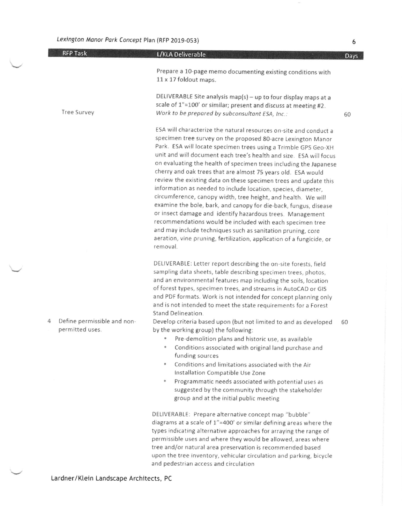| <b>RFP Task</b>                                     | L/KLA Deliverable                                                                                                                                                                                                                                                                                                                                                                                                                                                                                                                                                                                                                                                                                                                                                                                                                                                                                                                                                       | Days |
|-----------------------------------------------------|-------------------------------------------------------------------------------------------------------------------------------------------------------------------------------------------------------------------------------------------------------------------------------------------------------------------------------------------------------------------------------------------------------------------------------------------------------------------------------------------------------------------------------------------------------------------------------------------------------------------------------------------------------------------------------------------------------------------------------------------------------------------------------------------------------------------------------------------------------------------------------------------------------------------------------------------------------------------------|------|
|                                                     | Prepare a 10-page memo documenting existing conditions with<br>11 x 17 foldout maps.                                                                                                                                                                                                                                                                                                                                                                                                                                                                                                                                                                                                                                                                                                                                                                                                                                                                                    |      |
| Tree Survey                                         | DELIVERABLE Site analysis map(s) - up to four display maps at a<br>scale of 1"=100' or similar; present and discuss at meeting #2.<br>Work to be prepared by subconsultant ESA, Inc.:                                                                                                                                                                                                                                                                                                                                                                                                                                                                                                                                                                                                                                                                                                                                                                                   | 60   |
|                                                     | ESA will characterize the natural resources on-site and conduct a<br>specimen tree survey on the proposed 80-acre Lexington Manor<br>Park. ESA will locate specimen trees using a Trimble GPS Geo-XH<br>unit and will document each tree's health and size. ESA will focus<br>on evaluating the health of specimen trees including the Japanese<br>cherry and oak trees that are almost 75 years old. ESA would<br>review the existing data on these specimen trees and update this<br>information as needed to include location, species, diameter,<br>circumference, canopy width, tree height, and health. We will<br>examine the bole, bark, and canopy for die-back, fungus, disease<br>or insect damage and identify hazardous trees. Management<br>recommendations would be included with each specimen tree<br>and may include techniques such as sanitation pruning, core<br>aeration, vine pruning, fertilization, application of a fungicide, or<br>removal. |      |
|                                                     | DELIVERABLE: Letter report describing the on-site forests, field<br>sampling data sheets, table describing specimen trees, photos,<br>and an environmental features map including the soils, location<br>of forest types, specimen trees, and streams in AutoCAD or GIS<br>and PDF formats. Work is not intended for concept planning only<br>and is not intended to meet the state requirements for a Forest                                                                                                                                                                                                                                                                                                                                                                                                                                                                                                                                                           |      |
| Define permissible and non-<br>4<br>permitted uses. | Stand Delineation.<br>Develop criteria based upon (but not limited to and as developed<br>by the working group) the following:<br>Pre-demolition plans and historic use, as available<br>Conditions associated with original land purchase and<br>$\circ$<br>funding sources<br>Conditions and limitations associated with the Air<br>$\circ$<br>Installation Compatible Use Zone<br>Programmatic needs associated with potential uses as<br>۰<br>suggested by the community through the stakeholder<br>group and at the initial public meeting                                                                                                                                                                                                                                                                                                                                                                                                                         | 60   |
|                                                     | DELIVERABLE: Prepare alternative concept map "bubble"<br>diagrams at a scale of 1"=400' or similar defining areas where the<br>types indicating alternative approaches for arraying the range of<br>permissible uses and where they would be allowed, areas where<br>tree and/or natural area preservation is recommended based<br>upon the tree inventory, vehicular circulation and parking, bicycle                                                                                                                                                                                                                                                                                                                                                                                                                                                                                                                                                                  |      |

and pedestrian access and circulation

Lardner/ Klein Landscape Architects, PC